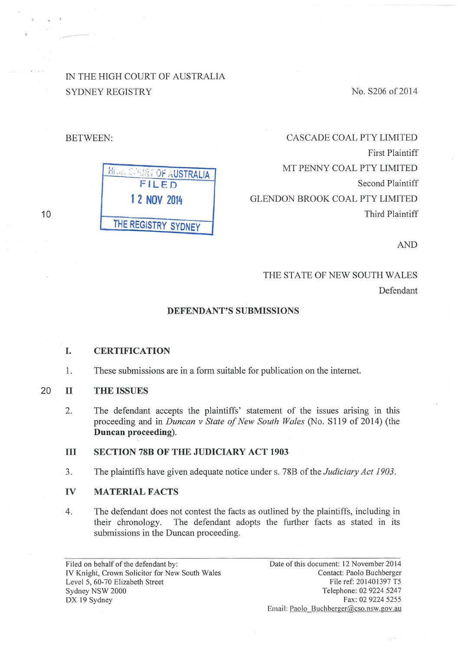IN THE HIGH COURT OF AU\$TRALIA SYDNEY REGISTRY

No. S206 of 2014

BETWEEN:

10

| OF AUSTRALIA        |
|---------------------|
| FILED               |
| 1 2 NOV 2014        |
| THE REGISTRY SYDNEY |

CASCADE COAL PTY LIMITED First Plaintiff MT PENNY COAL PTY LIMITED Second Plaintiff GLENDON BROOK COAL PTY LIMITED Third Plaintiff

AND

# THE STATE OF NEW SOUTH WALES Defendant

#### **DEFENDANT'S SUBMISSIONS**

#### **I. CERTIFICATION**

1. These submissions are in a form suitable for publication on the internet.

### 20 II **THE ISSUES**

2. The defendant accepts the plaintiffs' statement of the issues arising in this proceeding and in *Duncan v State of New South Wales* (No. S119 of 2014) (the **Duncan proceeding).** 

#### **III SECTION 78B OF THE JUDICIARY ACT 1903**

3. The plaintiffs have given adequate notice under s. 78B of the *Judiciary Act 1903.* 

#### **IV MATERIAL FACTS**

4. The defendant does not contest the facts as outlined by the plaintiffs, including in their chronology. The defendant adopts the further facts as stated in its submissions in the Duncan proceeding.

Filed on behalf of the defendant by: IV Knight, Crown Solicitor for New South Wales Level 5, 60-70 Elizabeth Street Sydney NSW 2000 DX 19 Sydney

Date of this document: 12 November 2014 Contact: Paolo Buchberger File ref: 201401397 T5 Telephone: 02 9224 5247 Fax: 02 9224 5255 Email: Paolo Buchberger@cso.nsw.gov.au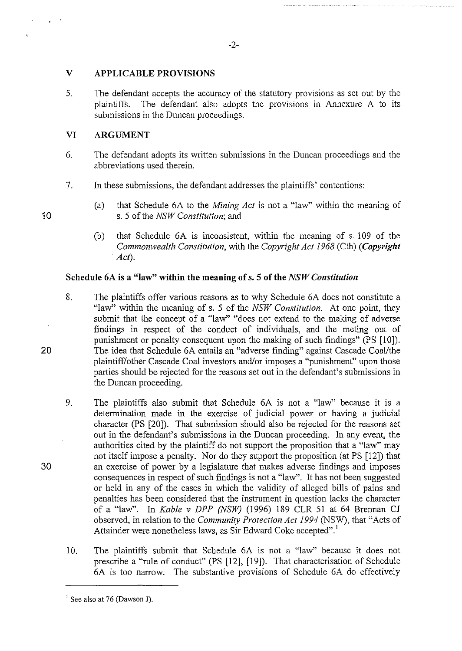## **V APPLICABLE PROVISIONS**

5. The defendant accepts the accuracy of the statutory provisions as set out by the plaintiffs. The defendant also adopts the provisions in Annexure A to its submissions in the Duncan proceedings.

# **VI ARGUMENT**

- 6. The defendant adopts its written submissions in the Duncan proceedings and the abbreviations used therein.
- 7. In these submissions, the defendant addresses the plaintiffs' contentions:
	- (a) that Schedule 6A to the *Mining Act* is not a "law" within the meaning of s. 5 of the *NSW Constitution;* and
	- (b) that Schedule 6A is inconsistent, within the meaning of s. 109 of the *Commonwealth Constitution,* with the *Copyright Act 1968* (Cth) *(Copyright Act).*

## **Schedule 6A is a "law" within the meaning of s. 5 of the** *NSW Constitution*

- 8. The plaintiffs offer various reasons as to why Schedule 6A does not constitute a "law" within the meaning of s. 5 of the *NSW Constitution.* At one point, they submit that the concept of a "law" "does not extend to the making of adverse findings in respect of the conduct of individuals, and the meting out of punishment or penalty consequent upon the making of such findings" (PS [10]). The idea that Schedule 6A entails an "adverse finding" against Cascade Coal/the plaintiff/other Cascade Coal investors and/or imposes a "punishment" upon those parties should be rejected for the reasons set out in the defendant's submissions in the Duncan proceeding.
- 9. The plaintiffs also submit that Schedule 6A is not a "law" because it is a determination made in the exercise of judicial power or having a judicial character (PS [20]). That submission should also be rejected for the reasons set out in the defendant's submissions in the Duncan proceeding. In any event, the authorities cited by the plaintiff do not support the proposition that a "law" may not itself impose a penalty. Nor do they support the proposition (at PS [12]) that an exercise of power by a legislature that makes adverse findings and imposes consequences in respect of such findings is not a "law". It has not been suggested or held in any of the cases in which the validity of alleged bills of pains and penalties has been considered that the instrument in question lacks the character of a "law". In *Kable v DPP (NSW)* (1996) 189 CLR 51 at 64 Brennan CJ observed, in relation to the *Community Protection Act 1994* (NSW), that "Acts of Attainder were nonetheless laws, as Sir Edward Coke accepted".'
- 10. The plaintiffs submit that Schedule 6A is not a "law" because it does not prescribe a "rule of conduct" (PS [12], [19]). That characterisation of Schedule 6A is too narrow. The substantive provisions of Schedule 6A do effectively

-2-

20

30

 $<sup>1</sup>$  See also at 76 (Dawson J).</sup>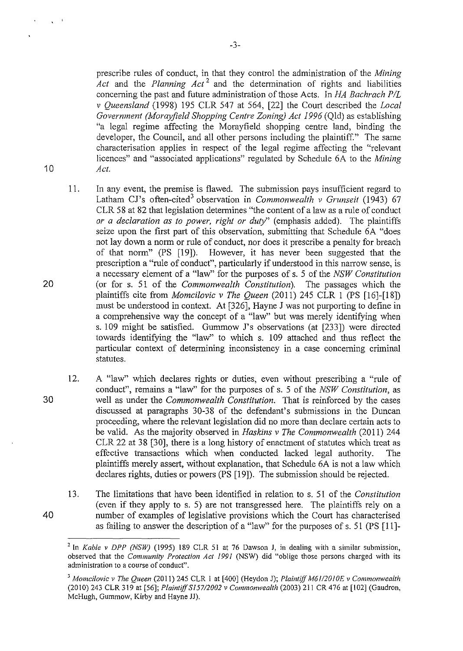prescribe rules of conduct, in that they control the administration of the *Mining Act* and the *Planning Act* 2 and the determination of rights and liabilities concerning the past and future administration of those Acts. In *HA Bachrach P/L* v *Queensland* (1998) 195 CLR 547 at 564, [22] the Court described the *Local Government (Morayfield Shopping Centre Zoning) Act 1996* (Qld) as establishing "a legal regime affecting the Morayfield shopping centre land, binding the developer, the Council, and all other persons including the plaintiff." The same characterisation applies in respect of the legal regime affecting the "relevant licences" and "associated applications" regulated by Schedule 6A to the *Mining Act.* 

- 11. In any event, the premise is flawed. The submission pays insufficient regard to Latham CJ's often-cited<sup>3</sup> observation in *Commonwealth v Grunseit* (1943) 67 CLR 58 at 82 that legislation determines "the content of a law as a rule of conduct *or a declaration as to power, right or duty"* (emphasis added). The plaintiffs seize upon the first part of this observation, submitting that Schedule 6A "does not lay down a norm or rule of conduct, nor does it prescribe a penalty for breach of that norm" (PS [19]). However, it has never been suggested that the prescription a "rule of conduct", particularly if understood in this narrow sense, is a necessary element of a "law" for the purposes of s. 5 of the *NSW Constitution*  (or for s. 51 of the *Commonwealth Constitution).* The passages which the plaintiffs cite from *Momcilovic v The Queen* (2011) 245 CLR 1 (PS [16]-[18]) must be understood in context. At [326], Hayne J was not purporting to define in a comprehensive way the concept of a "law" but was merely identifying when s. 109 might be satisfied. Gummow J's observations (at [233]) were directed towards identifying the "law" to which s. 109 attached and thus reflect the particular context of determining inconsistency in a case concerning criminal statutes.
- 12. A "law" which declares rights or duties, even without prescribing a "rule of conduct", remains a "law" for the purposes of s. 5 of the *NSW Constitution,* as well as under the *Commonwealth Constitution.* That is reinforced by the cases discussed at paragraphs 30-38 of the defendant's submissions in the Duncan proceeding, where the relevant legislation did no more than declare certain acts to be valid. As the majority observed in *Haskins v The Commonwealth* (2011) 244 CLR 22 at 38 [30], there is a long history of enactment of statutes which treat as effective transactions which when conducted lacked legal authority. The plaintiffs merely assert, without explanation, that Schedule 6A is not a law which declares rights, duties or powers (PS [19]). The submission should be rejected.
- 13. The limitations that have been identified in relation to s. 51 of the *Constitution*  (even if they apply to s. 5) are not transgressed here. The plaintiffs rely on a number of examples of legislative provisions which the Court has characterised as failing to answer the description of a "law" for the purposes of s. 51 (PS [11]-

 $-3-$ 

30

40

20

<sup>&</sup>lt;sup>2</sup> In *Kable v DPP (NSW)* (1995) 189 CLR 51 at 76 Dawson J, in dealing with a similar submission, observed that the *Community Protection Act 1991* (NSW) did "oblige those persons charged with its **administration to a course of conduct".** 

<sup>3</sup>*Momcilovic v The Queen* (2011) 245 CLR I at [400] (Heydon J); *Plaintiff M61/20/0E v Commonwealth*  (2010) 243 CLR 319 at [56]; *Plaintiff S157/2002 v Commonwealth* (2003) 211 CR 476 at [102] (Gaudron, McHugh, Gummow, Kirby and Hayne JJ).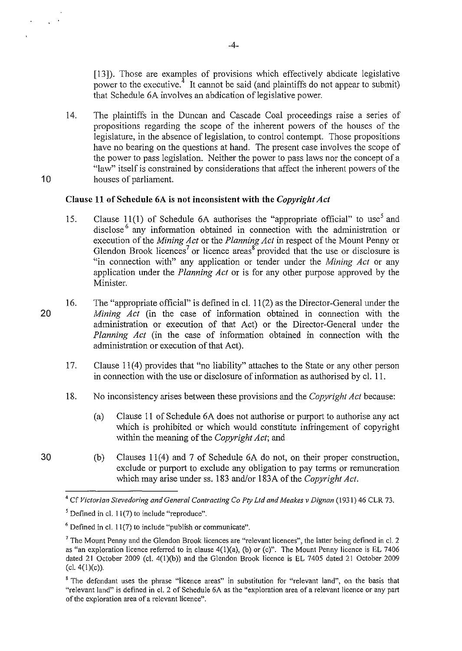[13]). Those are examples of provisions which effectively abdicate legislative power to the executive.<sup>4</sup> It cannot be said (and plaintiffs do not appear to submit) that Schedule 6A involves an abdication of legislative power.

14. The plaintiffs in the Duncan and Cascade Coal proceedings raise a series of propositions regarding the scope of the inherent powers of the houses of the legislature, in the absence of legislation, to control contempt. Those propositions have no bearing on the questions at hand. The present case involves the scope of the power to pass legislation. Neither the power to pass laws nor the concept of a "law" itself is constrained by considerations that affect the inherent powers of the houses of parliament.

#### Clause 11 of Schedule 6A is not inconsistent with the *Copyright Act*

- 15. Clause 11(1) of Schedule 6A authorises the "appropriate official" to use<sup>5</sup> and disclose<sup>6</sup> any information obtained in connection with the administration or execution of the *Mining Act* or the *Planning Act* in respect of the Mount Penny or Glendon Brook licences<sup>7</sup> or licence areas<sup>8</sup> provided that the use or disclosure is "in connection with" any application or tender under the *Mining Act* or any application under the *Planning Act* or is for any other purpose approved by the Minister.
- 20 16. The "appropriate official" is defined incl. 11(2) as the Director-General under the *Mining Act* (in the case of information obtained in connection with the administration or execution of that Act) or the Director-General under the *Planning Act* (in the case of information obtained in connection with the administration or execution of that Act).
	- 17. Clause 11(4) provides that "no liability" attaches to the State or any other person in connection with the use or disclosure of information as authorised by cl. ll.
	- 18. No inconsistency arises between these provisions and the *Copyright Act* because:
		- (a) Clause ll of Schedule 6A does not authorise or purport to authorise any act which is prohibited or which would constitute infringement of copyright within the meaning of the *Copyright Act;* and
	- (b) Clauses  $11(4)$  and 7 of Schedule 6A do not, on their proper construction, exclude or purport to exclude any obligation to pay terms or remuneration which may arise under ss. 183 and/or 183A of the *Copyright Act.*

30

<sup>&</sup>lt;sup>4</sup> Cf Victorian Stevedoring and General Contracting Co Pty Ltd and Meakes v Dignan (1931) 46 CLR 73.

 $<sup>5</sup>$  Defined in cl. 11(7) to include "reproduce".</sup>

 $6$  Defined in cl. 11(7) to include "publish or communicate".

 $<sup>7</sup>$  The Mount Penny and the Glendon Brook licences are "relevant licences", the latter being defined in cl. 2</sup> as "an exploration licence referred to in clause 4(1)(a), (b) or (c)". The Mount Penny licence is EL 7406 dated 21 October 2009 (cl. 4(1)(b)) and the Glendon Brook licence is EL 7405 dated 21 October 2009 (cl. 4(1)(c)).

<sup>8</sup> The defendant uses the phrase "licence areas" in substitution for "relevant land", on the basis that "relevant land" is defined in cl. 2 of Schedule 6A as the "exploration area of a relevant licence or any part **of the exploration area of a relevant licence".**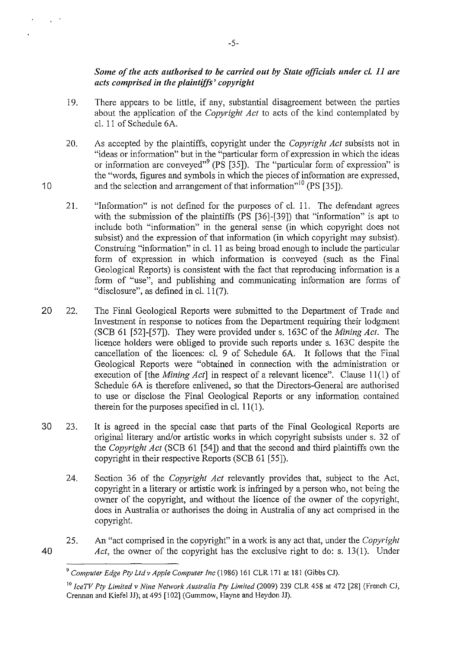# *Some of the acts authorised to be carried out by State officials under cL 11 are acts comprised in the plaintiffs' copyright*

- 19. There appears to be little, if any, substantial disagreement between the parties about the application of the *Copyright Act* to acts of the kind contemplated by cl. 11 of Schedule 6A.
- 20. As accepted by the plaintiffs, copyright under the *Copyright Act* subsists not in "ideas or information" but in the "particular form of expression in which the ideas or information are conveyed"<sup>9</sup> (PS [35]). The "particular form of expression" is the "words, figures and symbols in which the pieces of information are expressed, and the selection and arrangement of that information<sup>10</sup> (PS [35]).
- 21. "Information" is not defined for the purposes of cl. 11. The defendant agrees with the submission of the plaintiffs (PS [36]-[39]) that "information" is apt to include both "information" in the general sense (in which copyright does not subsist) and the expression of that information (in which copyright may subsist). Construing "information" in cl. 11 as being broad enough to include the particular form of expression in which information is conveyed (such as the Final Geological Reports) is consistent with the fact that reproducing information is a form of "use", and publishing and communicating information are forms of "disclosure", as defined in cl.  $11(7)$ .
- 20 22. The Final Geological Reports were submitted to the Department of Trade and Investment in response to notices from the Department requiring their lodgment (SCB 61 [52]-[57]). They were provided under s. 163C of the *Mining Act.* The licence holders were obliged to provide such reports under s. 163C despite the cancellation of the licences: cl. 9 of Schedule 6A. It follows that the Final Geological Reports were "obtained in connection with the administration or execution of [the *Mining Act*] in respect of a relevant licence". Clause 11(1) of Schedule 6A is therefore enlivened, so that the Directors-General are authorised to use or disclose the Final Geological Reports or any information contained therein for the purposes specified in cl.  $11(1)$ .
- 30 23. It is agreed in the special case that parts of the Final Geological Reports are original literary and/or artistic works in which copyright subsists under s. 32 of the *Copyright Act* (SCB 61 [54]) and that the second and third plaintiffs own the copyright in their respective Reports (SCB 61 [55]).
	- 24. Section 36 of the *Copyright Act* relevantly provides that, subject to the Act, copyright in a literary or artistic work is infringed by a person who, not being the owner of the copyright, and without the licence of the owner of the copyright, does in Australia or authorises the doing in Australia of any act comprised in the copyright.
	- 25. An "act comprised in the copyright" in a work is any act that, under the *Copyright Act,* the owner of the copyright has the exclusive right to do: s. 13(1). Under

40

<sup>9</sup>*Computer Edge Pty Ltdv Apple Computer Inc* (1986) 161 CLR 171 at 181 (Gibbs CJ).

<sup>&</sup>lt;sup>10</sup> Ice TV Pty Limited v Nine Network Australia Pty Limited (2009) 239 CLR 458 at 472 [28] (French CJ, Crennan and Kiefel JJ); at 495 [102] (Gummow, Hayne and Heydon JJ).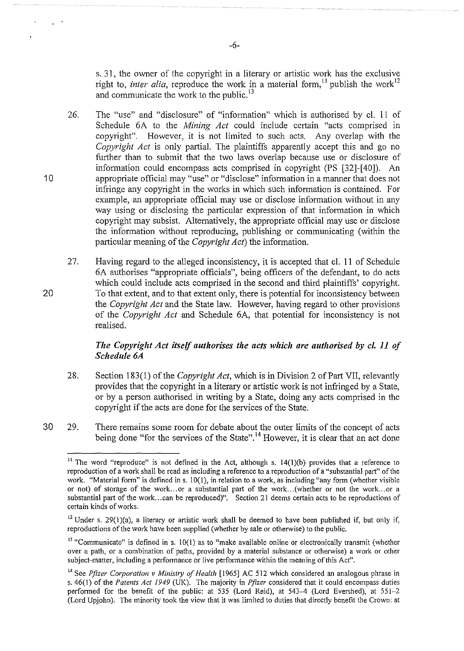s. 31, the owner of the copyright in a literary or artistic work has the exclusive right to, *inter alia*, reproduce the work in a material form, <sup>11</sup> publish the work<sup>12</sup> and communicate the work to the public.<sup>13</sup>

26. The "use" and "disclosure" of "information" which is authorised by cl. 11 of Schedule 6A to the *Mining Act* could include certain "acts comprised in copyright". However, it is not limited to such acts. Any overlap with the *Copyright Act* is only partial. The plaintiffs apparently accept this and go no further than to submit that the two laws overlap because use or disclosure of information could encompass acts comprised in copyright (PS [32]-[40]). An appropriate official may "use" or "disclose" information in a manner that does not infringe any copyright in the works in which such information is contained. For example, an appropriate official may use or disclose information without in any way using or disclosing the particular expression of that information in which copyright may subsist. Alternatively, the appropriate official may use or disclose the information without reproducing, publishing or communicating (within the particular meaning of the *Copyright Act)* the information.

10

20

27. Having regard to the alleged inconsistency, it is accepted that cl. 11 of Schedule 6A authorises "appropriate officials", being officers of the defendant, to do acts which could include acts comprised in the second and third plaintiffs' copyright. To that extent, and to that extent only, there is potential for inconsistency between the *Copyright Act* and the State law. However, having regard to other provisions of the *Copyright Act* and Schedule 6A, that potential for inconsistency is not realised.

## *The Copyright Act itself authorises the acts which are authorised by cl. 11 of Schedule 6A*

- 28. Section 183(1) of the *Copyright Act,* which is in Division 2 of Part VII, relevantly provides that the copyright in a literary or artistic work is not infringed by a State, or by a person authorised in writing by a State, doing any acts comprised in the copyright if the acts are done for the services of the State.
- 30 29. There remains some room for debate about the outer limits of the concept of acts being done "for the services of the State".<sup>14</sup> However, it is clear that an act done

-6-

<sup>&</sup>lt;sup>11</sup> The word "reproduce" is not defined in the Act, although s.  $14(1)(b)$  provides that a reference to reproduction of a work shall be read as including a reference to a reproduction of a "substantial part" of the work. "Material form" is defined ins. 10(1), in relation to a work, as including "any form (whether visible or not) of storage of the work... or a substantial part of the work... (whether or not the work... or a substantial part of the work ... can be reproduced)". Section 21 deems certain acts to be reproductions of certain kinds of works.

 $12$  Under s. 29(1)(a), a literary or artistic work shall be deemed to have been published if, but only if, reproductions of the work have been supplied (whether by sale or otherwise) to the public.

 $13$  "Communicate" is defined in s. 10(1) as to "make available online or electronically transmit (whether over a path, or a combination of paths, provided by a material substance or otherwise) a work or other subject-matter, including a performance or live performance within the meaning of this Act".

<sup>&</sup>lt;sup>14</sup> See *Pfizer Corporation v Ministry of Health* [1965] AC 512 which considered an analogous phrase in s. 46(1) of the *Patents Act 1949* (UK). The majority in *Pfizer* considered that it could encompass duties performed for the benefit of the public: at 535 (Lord Reid), at 543-4 (Lord Evershed), at 551-2 (Lord Upjohn). The minority took the view that it was limited to duties that directly benefit the Crown: at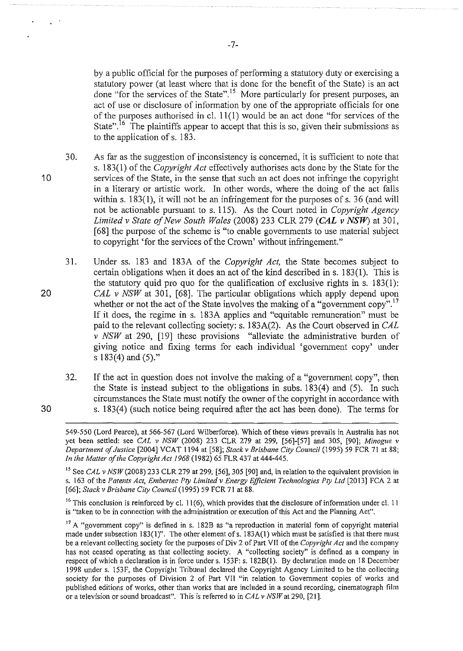by a public official for the purposes of performing a statutory duty or exercising a statutory power (at least where that is done for the benefit of the State) is an act done "for the services of the State".<sup>15</sup> More particularly for present purposes, an act of use or disclosure of information by one of the appropriate officials for one of the purposes authorised in cl.  $11(1)$  would be an act done "for services of the State".<sup>16</sup> The plaintiffs appear to accept that this is so, given their submissions as to the application of s. 183.

- 30. As far as the suggestion of inconsistency is concerned, it is sufficient to note that s. 183(1) of the *Copyright Act* effectively authorises acts done by the State for the services of the State, in the sense that such an act does not infringe the copyright in a literary or artistic work. In other words, where the doing of the act falls within s. 183(1), it will not be an infringement for the purposes of s. 36 (and will not be actionable pursuant to s. 115). As the Court noted in *Copyright Agency Limited v State of New South Wales* (2008) 233 CLR 279 *(CAL v NSW)* at 301, [68] the purpose of the scheme is "to enable governments to use material subject to copyright 'for the services of the Crown' without infringement."
- 31. Under ss. 183 and 183A of the *Copyright Act,* the State becomes subject to certain obligations when it does an act of the kind described in s. 183(1 ). This is the statutory quid pro quo for the qualification of exclusive rights in  $s$ . 183(1): *CAL v NSW* at 301, [68]. The particular obligations which apply depend upon whether or not the act of the State involves the making of a "government copy".<sup>17</sup> If it does, the regime in s. 183A applies and "equitable remuneration" must be paid to the relevant collecting society: s. 183A(2). As the Court observed in *CAL v NSW* at 290, [19] these provisions "alleviate the administrative burden of giving notice and fixing terms for each individual 'government copy' under s 183(4) and (5)."
- 32. If the act in question does not involve the making of a "government copy", then the State is instead subject to the obligations in subs. 183(4) and (5). In such circumstances the State must notify the owner of the copyright in accordance with s. 183(4) (such notice being required after the act has been done). The terms for

20

30

<sup>549-550 (</sup>Lord Pearce), at 566-567 (Lord Wilberforce). Wbich of these views prevails in Australia has not yet been settled: see *CAL* v *NSW* (2008) 233 CLR 279 at 299, [56]-[57] and 305, [90]; *Minogue v Department of Justice* [2004] VCAT 1194 at [58]; *Stack v Brisbane City Council* (1995) 59 FCR 71 at 88; *In the Matter of the Copyright Act 1968* (1982) 65 FLR 437 at 444-445.

<sup>&</sup>lt;sup>15</sup> See *CAL* v NSW (2008) 233 CLR 279 at 299, [56], 305 [90] and, in relation to the equivalent provision in s. 163 of the *Patents Act, Embertec Pty Limited v Energy Efficient Technologies Pty Ltd* [2013] FCA 2 at [66]; *Stack v Brisbane City Council* (1995) 59 FCR 71 at 88.

<sup>&</sup>lt;sup>16</sup> This conclusion is reinforced by cl. 11(6), which provides that the disclosure of information under cl. 11 is "taken to be in connection with the administration or execution ofthis Act and the Planning Act".

<sup>&</sup>lt;sup>17</sup> A "government copy" is defined in s. 182B as "a reproduction in material form of copyright material made under subsection 183(1)". The other element of s. 183A(1) which must be satisfied is that there must be a relevant collecting society for the purposes of Div 2 of Part VII of the *Copyright Act* and the company has not ceased operating as that collecting society. A "collecting society" is defined as a company in respect of which a declaration is in force under s. 153F: s. l82B(l). By declaration made on 18 December 1998 under s. 153F, the Copyright Tribunal declared the Copyright Agency Limited to be the collecting society for the purposes of Division 2 of Part VII "in relation to Government copies of works and published editions of works, other than works that are included in a sound recording, cinematograph film or a television or sound broadcast". This is referred to in *CAL v NSW* at 290, [21].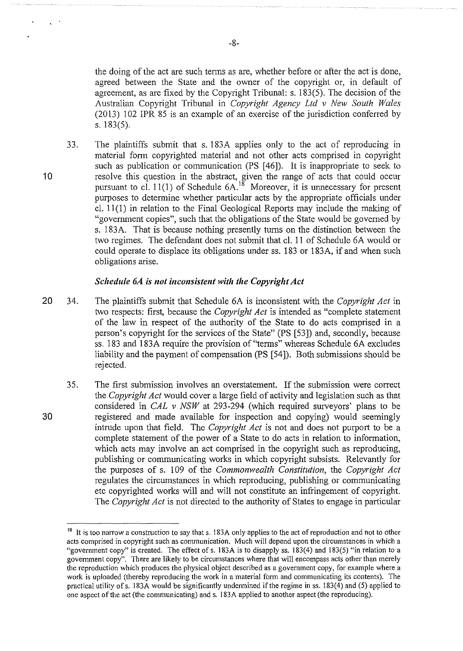the doing of the act are such terms as are, whether before or after the act is done, agreed between the State and the owner of the copyright or, in default of agreement, as are fixed by the Copyright Tribunal: s. 183(5). The decision of the Australian Copyright Tribunal in *Copyright Agency Ltd v New South Wales*  (20 13) 102 IPR 85 is an example of an exercise of the jurisdiction conferred by s. 183(5).

33. The plaintiffs submit that s. 183A applies only to the act of reproducing in material form copyrighted material and not other acts comprised in copyright such as publication or communication (PS [46]). It is inappropriate to seek to resolve this question in the abstract, given the range of acts that could occur pursuant to cl. 11(1) of Schedule  $6A$ <sup>18</sup> Moreover, it is unnecessary for present purposes to determine whether particular acts by the appropriate officials under cl. 11 (1) in relation to the Final Geological Reports may include the making of "government copies", such that the obligations of the State would be governed by s. 183A. That is because nothing presently turns on the distinction between the two regimes. The defendant does not submit that cl. 11 of Schedule 6A would or could operate to displace its obligations under ss. 183 or 183A, if and when such obligations arise.

#### *Schedule 6A is not inconsistent with the Copyright Act*

- 20 34. The plaintiffs submit that Schedule 6A is inconsistent with the *Copyright Act* in two respects: first, because the *Copyright Act* is intended as "complete statement of the law in respect of the authority of the State to do acts comprised in a person's copyright for the services of the State" (PS [53]) and, secondly, because ss. 183 and 183A require the provision of "terms" whereas Schedule 6A excludes liability and the payment of compensation (PS [54]). Both submissions should be rejected.
	- 35. The first submission involves an overstatement. If the submission were correct the *Copyright Act* would cover a large field of activity and legislation such as that considered in *CAL v NSW* at 293-294 (which required surveyors' plans to be registered and made available for inspection and copying) would seemingly intrude upon that field. The *Copyright Act* is not and does not purport to be a complete statement of the power of a State to do acts in relation to information, which acts may involve an act comprised in the copyright such as reproducing, publishing or communicating works in which copyright subsists. Relevantly for the purposes of s. 109 of the *Commonwealth Constitution,* the *Copyright Act*  regulates the circumstances in which reproducing, publishing or communicating etc copyrighted works will and will not constitute an infringement of copyright. The *Copyright Act* is not directed to the authority of States to engage in particular

10

<sup>&</sup>lt;sup>18</sup> It is too narrow a construction to say that s. 183A only applies to the act of reproduction and not to other acts comprised in copyright such as communication. Much will depend upon the circumstances in which a "government copy" is created. The effect of s. 183A is to disapply ss. 183(4) and 183(5) "in relation to a government copy". There are likely to be circumstances where that will encompass acts other than merely the reproduction which produces the physical object described as a government copy, for example where a work is uploaded (thereby reproducing the work in a material form and communicating its contents). The practical utility ofs. 183A would be significantly undermined if the regime in ss. 183(4) and (5) applied to one aspect of the act (the communicating) and s. 183A applied to another aspect (the reproducing).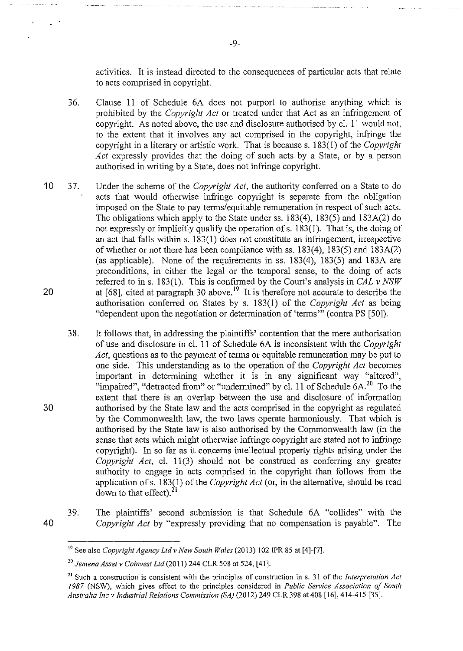activities. It is instead directed to the consequences of particular acts that relate to acts comprised in copyright.

- 36. Clause 11 of Schedule 6A does not purport to authorise anything which is prohibited by the *Copyright Act* or treated under that Act as an infringement of copyright. As noted above, the use and disclosure authorised by cl. 11 would not, to the extent that it involves any act comprised in the copyright, infringe the copyright in a literary or artistic work. That is because s. 183(1) of the *Copyright Act* expressly provides that the doing of such acts by a State, or by a person authorised in writing by a State, does not infringe copyright.
- 10 37. Under the scheme of the *Copyright Act,* the authority confened on a State to do acts that would otherwise infringe copyright is separate from the obligation imposed on the State to pay terms/equitable remuneration in respect of such acts. The obligations which apply to the State under ss. 183(4), 183(5) and 183A(2) do not expressly or implicitly qualify the operation of s. 183(1). That is, the doing of an act that falls within s. 183(1) does not constitute an infringement, inespective of whether or not there has been compliance with ss. 183(4), 183(5) and 183A(2) (as applicable). None of the requirements in ss. 183(4), 183(5) and 183A are preconditions, in either the legal or the temporal sense, to the doing of acts refened to ins. 183(1). This is confirmed by the Court's analysis in *CAL v NSW*  at  $[68]$ , cited at paragraph 30 above.<sup>19</sup> It is therefore not accurate to describe the authorisation confened on States by s. 183(1) of the *Copyright Act* as being "dependent upon the negotiation or determination of 'terms"' (contra PS [50]). 20
	- 38. It follows that, in addressing the plaintiffs' contention that the mere authorisation of use and disclosure in cl. 11 of Schedule 6A is inconsistent with the *Copyright*  Act, questions as to the payment of terms or equitable remuneration may be put to one side. This understanding as to the operation of the *Copyright Act* becomes important in determining whether it is in any significant way "altered", "impaired", "detracted from" or "undermined" by cl. 11 of Schedule 6A.<sup>20</sup> To the extent that there is an overlap between the use and disclosure of information authorised by the State law and the acts comprised in the copyright as regulated by the Commonwealth law, the two laws operate harmoniously. That which is authorised by the State law is also authorised by the Commonwealth law (in the sense that acts which might otherwise infringe copyright are stated not to infringe copyright). In so far as it concerns intellectual property rights arising under the *Copyright Act*, cl. 11(3) should not be construed as conferring any greater authority to engage in acts comprised in the copyright than follows from the application ofs. 183(1) of the *Copyright Act* (or, in the alternative, should be read down to that effect). $2I$
- 40

30

39. The plaintiffs' second submission is that Schedule 6A "collides" with the *Copyright Act* by "expressly providing that no compensation is payable". The

<sup>19</sup> See also *Copyright Agency Ltd v New South Wales* (20 13) 102 IPR 85 at [4]-[7].

<sup>20</sup>*Jemena Asset* v *Coinvest Ltd* (2011) 244 CLR 508 at 524, [41].

<sup>&</sup>lt;sup>21</sup> Such a construction is consistent with the principles of construction in s. 31 of the *Interpretation Act 1987* (NSW), which gives effect to the principles considered in *Public Service Association of South Australia Inc* v *Industrial Relations Commission (SA)* (20 12) 249 CLR 398 at 408 [16], 414-415 [35].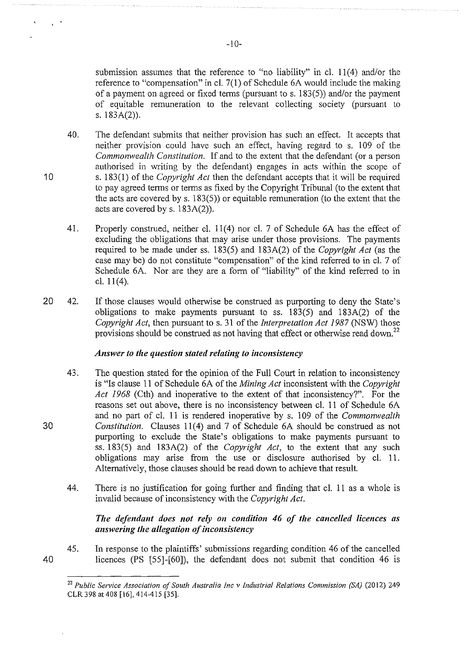submission assumes that the reference to "no liability" in cl. 11(4) and/or the reference to "compensation" in cl.  $7(1)$  of Schedule 6A would include the making of a payment on agreed or fixed terms (pursuant to s. 183(5)) and/or the payment of equitable remuneration to the relevant collecting society (pursuant to s. 183A(2)).

- 40. The defendant submits that neither provision has such an effect. It accepts that neither provision could have such an effect, having regard to s. 109 of the *Commonwealth Constitution.* If and to the extent that the defendant (or a person authorised in writing by the defendant) engages in acts within the scope of s. 183(1) of the *Copyright Act* then the defendant accepts that it will be required to pay agreed terms or terms as fixed by the Copyright Tribunal (to the extent that the acts are covered by s. 183(5)) or equitable remuneration (to the extent that the acts are covered by s. 183A(2)).
- 41. Properly construed, neither cl. 11(4) nor cl. 7 of Schedule 6A has the effect of excluding the obligations that may arise under those provisions. The payments required to be made under ss. 183(5) and 183A(2) of the *Copyright Act* (as the case may be) do not constitute "compensation" of the kind referred to in cl. 7 of Schedule 6A. Nor are they are a form of "liability" of the kind referred to in cl. 11(4).
- 20 42. If those clauses would otherwise be construed as purporting to deny the State's obligations to make payments pursuant to ss. 183(5) and 183A(2) of the *Copyright Act,* then pursuant to s. 31 of the *Interpretation Act 1987* (NSW) those provisions should be construed as not having that effect or otherwise read down.<sup>22</sup>

## *Answer to the question stated relating to inconsistency*

- 43. The question stated for the opinion of the Full Court in relation to inconsistency is "Is clause 11 of Schedule 6A of the *Mining Act* inconsistent with the *Copyright Act 1968* (Cth) and inoperative to the extent of that inconsistency?". For the reasons set out above, there is no inconsistency between cl. 11 of Schedule 6A and no part of cl. 11 is rendered inoperative by s. 109 of the *Commonwealth Constitution.* Clauses 11(4) and 7 of Schedule 6A should be construed as not purporting to exclude the State's obligations to make payments pursuant to ss. 183(5) and 183A(2) of the *Copyright Act,* to the extent that any such obligations may arise from the use or disclosure authorised by cl. 11. Alternatively, those clauses should be read down to achieve that result.
- 44. There is no justification for going further and finding that cl. 11 as a whole is invalid because of inconsistency with the *Copyright Act.*

## The defendant does not rely on condition 46 of the cancelled licences as *answering the allegation of inconsistency*

45. In response to the plaintiffs' submissions regarding condition 46 of the cancelled licences (PS [55]-[60]), the defendant does not submit that condition 46 is

# 30

40

<sup>&</sup>lt;sup>22</sup> Public Service Association of South Australia Inc v Industrial Relations Commission (SA) (2012) 249 CLR398 at408 [16], 414-415 [35].